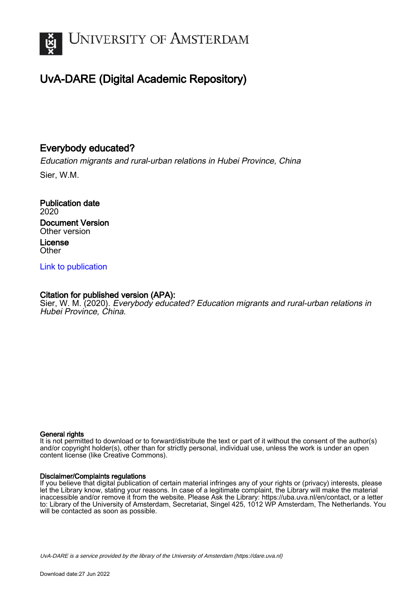

# UvA-DARE (Digital Academic Repository)

## Everybody educated?

Education migrants and rural-urban relations in Hubei Province, China

Sier, W.M.

Publication date 2020 Document Version Other version License **Other** 

[Link to publication](https://dare.uva.nl/personal/pure/en/publications/everybody-educated(568586e1-3cae-42c0-8046-a1a13b83a292).html)

### Citation for published version (APA):

Sier, W. M. (2020). Everybody educated? Education migrants and rural-urban relations in Hubei Province, China.

#### General rights

It is not permitted to download or to forward/distribute the text or part of it without the consent of the author(s) and/or copyright holder(s), other than for strictly personal, individual use, unless the work is under an open content license (like Creative Commons).

#### Disclaimer/Complaints regulations

If you believe that digital publication of certain material infringes any of your rights or (privacy) interests, please let the Library know, stating your reasons. In case of a legitimate complaint, the Library will make the material inaccessible and/or remove it from the website. Please Ask the Library: https://uba.uva.nl/en/contact, or a letter to: Library of the University of Amsterdam, Secretariat, Singel 425, 1012 WP Amsterdam, The Netherlands. You will be contacted as soon as possible.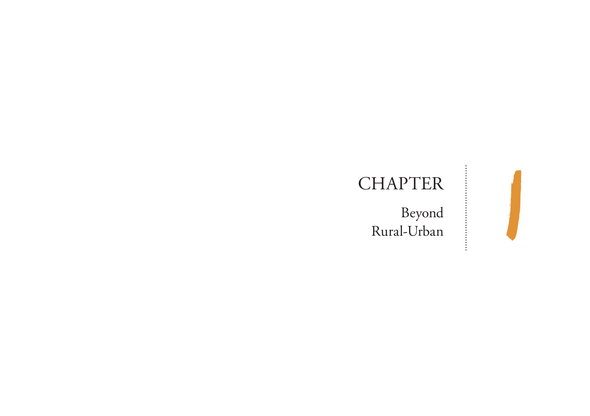# **CHAPTER**

Beyond HAPTER<br>Beyond<br>Rural-Urban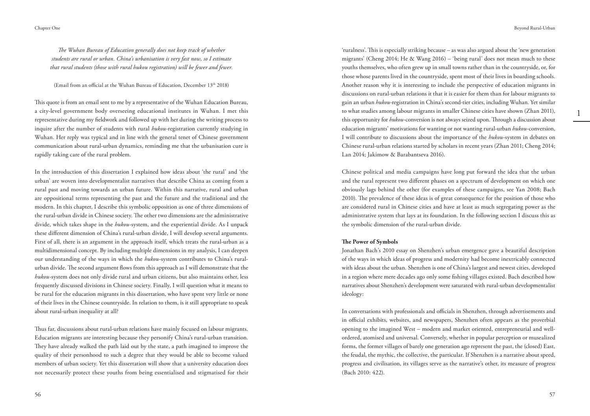*The Wuhan Bureau of Education generally does not keep track of whether students are rural or urban. China's urbanisation is very fast now, so I estimate that rural students (those with rural hukou registration) will be fewer and fewer.*

(Email from an official at the Wuhan Bureau of Education, December  $13<sup>th</sup> 2018$ )

This quote is from an email sent to me by a representative of the Wuhan Education Bureau, a city-level government body overseeing educational institutes in Wuhan. I met this representative during my fieldwork and followed up with her during the writing process to inquire after the number of students with rural *hukou*-registration currently studying in Wuhan. Her reply was typical and in line with the general tenet of Chinese government communication about rural-urban dynamics, reminding me that the urbanisation cure is rapidly taking care of the rural problem.

In the introduction of this dissertation I explained how ideas about 'the rural' and 'the urban' are woven into developmentalist narratives that describe China as coming from a rural past and moving towards an urban future. Within this narrative, rural and urban are oppositional terms representing the past and the future and the traditional and the modern. In this chapter, I describe this symbolic opposition as one of three dimensions of the rural-urban divide in Chinese society. The other two dimensions are the administrative divide, which takes shape in the *hukou-*system, and the experiential divide. As I unpack these different dimension of China's rural-urban divide, I will develop several arguments. First of all, there is an argument in the approach itself, which treats the rural-urban as a multidimensional concept. By including multiple dimensions in my analysis, I can deepen our understanding of the ways in which the *hukou-*system contributes to China's ruralurban divide. The second argument flows from this approach as I will demonstrate that the *hukou-*system does not only divide rural and urban citizens, but also maintains other, less frequently discussed divisions in Chinese society. Finally, I will question what it means to be rural for the education migrants in this dissertation, who have spent very little or none of their lives in the Chinese countryside. In relation to them, is it still appropriate to speak about rural-urban inequality at all?

Thus far, discussions about rural-urban relations have mainly focused on labour migrants. Education migrants are interesting because they personify China's rural-urban transition. They have already walked the path laid out by the state, a path imagined to improve the quality of their personhood to such a degree that they would be able to become valued members of urban society. Yet this dissertation will show that a university education does not necessarily protect these youths from being essentialised and stigmatised for their

'ruralness'. This is especially striking because – as was also argued about the 'new generation migrants' (Cheng 2014; He & Wang 2016) – 'being rural' does not mean much to these youths themselves, who often grew up in small towns rather than in the countryside, or, for those whose parents lived in the countryside, spent most of their lives in boarding schools. Another reason why it is interesting to include the perspective of education migrants in discussions on rural-urban relations it that it is easier for them than for labour migrants to gain an urban *hukou-*registration in China's second-tier cities, including Wuhan. Yet similar to what studies among labour migrants in smaller Chinese cities have shown (Zhan 2011), this opportunity for *hukou-*conversion is not always seized upon. Through a discussion about education migrants' motivations for wanting or not wanting rural-urban *hukou-*conversion, I will contribute to discussions about the importance of the *hukou-*system in debates on Chinese rural-urban relations started by scholars in recent years (Zhan 2011; Cheng 2014; Lan 2014; Jakimow & Barabantseva 2016).

Chinese political and media campaigns have long put forward the idea that the urban and the rural represent two different phases on a spectrum of development on which one obviously lags behind the other (for examples of these campaigns, see Yan 2008; Bach 2010). The prevalence of these ideas is of great consequence for the position of those who are considered rural in Chinese cities and have at least as much segregating power as the administrative system that lays at its foundation. In the following section I discuss this as the symbolic dimension of the rural-urban divide.

#### **The Power of Symbols**

Jonathan Bach's 2010 essay on Shenzhen's urban emergence gave a beautiful description of the ways in which ideas of progress and modernity had become inextricably connected with ideas about the urban. Shenzhen is one of China's largest and newest cities, developed in a region where mere decades ago only some fishing villages existed. Bach described how narratives about Shenzhen's development were saturated with rural-urban developmentalist ideology:

In conversations with professionals and officials in Shenzhen, through advertisements and in official exhibits, websites, and newspapers, Shenzhen often appears as the proverbial opening to the imagined West – modern and market oriented, entrepreneurial and wellordered, atomised and universal. Conversely, whether in popular perception or musealized forms, the former villages of barely one generation ago represent the past, the (closed) East, the feudal, the mythic, the collective, the particular. If Shenzhen is a narrative about speed, progress and civilisation, its villages serve as the narrative's other, its measure of progress (Bach 2010: 422).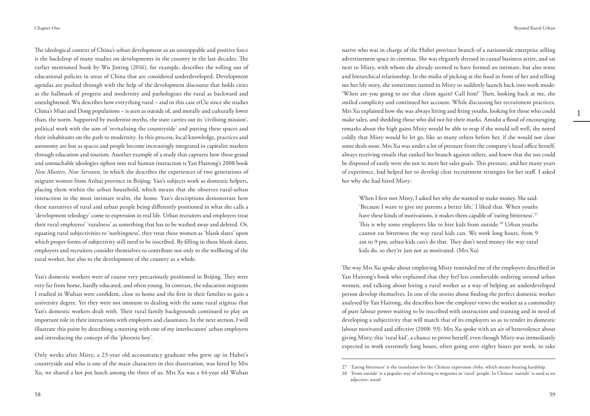The ideological context of China's urban development as an unstoppable and positive force is the backdrop of many studies on developments in the country in the last decades. The earlier mentioned book by Wu Jinting (2016), for example, describes the rolling out of educational policies in areas of China that are considered underdeveloped. Development agendas are pushed through with the help of the development discourse that holds cities as the hallmark of progress and modernity and pathologises the rural as backward and unenlightened. Wu describes how everything rural – and in this case et Úic since she studies China's Miao and Dong populations – is seen as outside of, and morally and culturally lower than, the norm. Supported by modernist myths, the state carries out its 'civilising mission', political work with the aim of 'revitalising the countryside' and putting these spaces and their inhabitants on the path to modernity. In this process, local knowledge, practices and autonomy are lost as spaces and people become increasingly integrated in capitalist markets through education and tourism. Another example of a study that captures how these grand and untouchable ideologies siphon into real human interaction is Yan Hairong's 2008 book *New Masters, New Servants,* in which she describes the experiences of two generations of migrant women from Anhui province in Beijing. Yan's subjects work as domestic helpers, placing them within the urban household, which means that she observes rural-urban interaction in the most intimate realm, the home. Yan's descriptions demonstrate how these narratives of rural and urban people being differently positioned in what she calls a 'development teleology' come to expression in real life. Urban recruiters and employers treat their rural employees' 'ruralness' as something that has to be washed away and deleted. Or, equating rural subjectivities to 'nothingness', they treat these women as 'blank slates' upon which proper forms of subjectivity still need to be inscribed. By filling in these blank slates, employers and recruiters consider themselves to contribute not only to the wellbeing of the rural worker, but also to the development of the country as a whole.

Yan's domestic workers were of course very precariously positioned in Beijing. They were very far from home, hardly educated, and often young. In contrast, the education migrants I studied in Wuhan were confident, close to home and the first in their families to gain a university degree. Yet they were not immune to dealing with the same rural stigmas that Yan's domestic workers dealt with. Their rural family backgrounds continued to play an important role in their interactions with employers and classmates. In the next section, I will illustrate this point by describing a meeting with one of my interlocutors' urban employers and introducing the concept of the 'phoenix boy'.

Only weeks after Misty, a 23-year old accountancy graduate who grew up in Hubei's countryside and who is one of the main characters in this dissertation, was hired by Mrs Xu, we shared a hot pot lunch among the three of us. Mrs Xu was a 44-year old Wuhan

1

native who was in charge of the Hubei province branch of a nationwide enterprise selling advertisement space in cinemas. She was elegantly dressed in casual business attire, and sat next to Misty, with whom she already seemed to have formed an intimate, but also tense and hierarchical relationship. In the midst of picking at the food in front of her and telling me her life story, she sometimes turned to Misty to suddenly launch back into work mode: 'When are you going to see that client again? Call him!' Then, looking back at me, she smiled complicity and continued her account. While discussing her recruitment practices, Mrs Xu explained how she was always hiring and firing youths, looking for those who could make sales, and shedding those who did not hit their marks. Amidst a flood of encouraging remarks about the high gains Misty would be able to reap if she would sell well, she noted coldly that Misty would be let go, like so many others before her, if she would not close some deals soon. Mrs Xu was under a lot of pressure from the company's head office herself, always receiving emails that ranked her branch against others, and knew that she too could be disposed of easily were she not to meet her sales goals. This pressure, and her many years of experience, had helped her to develop clear recruitment strategies for her staff. I asked her why she had hired Misty:

When I first met Misty, I asked her why she wanted to make money. She said: 'Because I want to give my parents a better life.' I liked that. When youths have these kinds of motivations, it makes them capable of 'eating bitterness'.<sup>27</sup> This is why some employers like to hire kids from outside.<sup>28</sup> Urban youths cannot eat bitterness the way rural kids can. We work long hours, from 9 am to 9 pm, urban kids can't do that. They don't need money the way rural kids do, so they're just not as motivated. (Mrs Xu)

The way Mrs Xu spoke about employing Misty reminded me of the employers described in Yan Hairong's book who explained that they feel less comfortable ordering around urban women, and talking about hiring a rural worker as a way of helping an underdeveloped person develop themselves. In one of the stories about finding the perfect domestic worker analysed by Yan Hairong, she describes how the employer views the worker as a commodity of pure labour power waiting to be inscribed with instruction and training and in need of developing a subjectivity that will match that of its employers so as to render its domestic labour motivated and affective (2008: 93). Mrs Xu spoke with an air of benevolence about giving Misty, this 'rural kid', a chance to prove herself, even though Misty was immediately expected to work extremely long hours, often going over eighty hours per week, to take

<sup>27</sup> 'Eating bitterness' is the translation for the Chinese expression *chiku,* which means bearing hardship.

<sup>28</sup> 'From outside' is a popular way of referring to migrants or 'rural' people. In Chinese 'outside' is used as an adjective: *waidi.*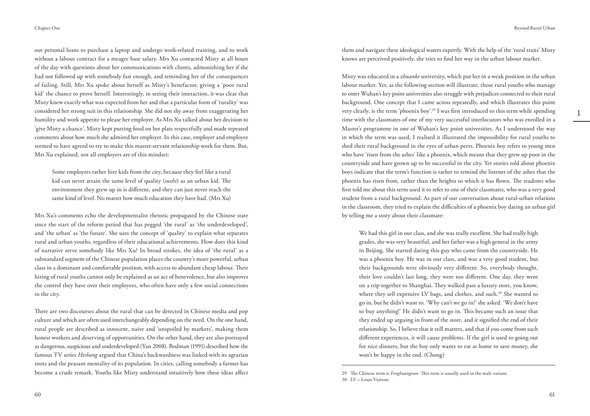out personal loans to purchase a laptop and undergo work-related training, and to work without a labour contract for a meagre base salary. Mrs Xu contacted Misty at all hours of the day with questions about her communications with clients, admonishing her if she had not followed up with somebody fast enough, and reminding her of the consequences of failing. Still, Mrs Xu spoke about herself as Misty's benefactor, giving a 'poor rural kid' the chance to prove herself. Interestingly, in seeing their interaction, it was clear that Misty knew exactly what was expected from her and that a particular form of 'rurality' was considered her strong suit in this relationship. She did not shy away from exaggerating her humility and work appetite to please her employer. As Mrs Xu talked about her decision to 'give Misty a chance', Misty kept putting food on her plate respectfully and made repeated comments about how much she admired her employer. In this case, employer and employee seemed to have agreed to try to make this master-servant relationship work for them. But, Mrs Xu explained, not all employers are of this mindset:

Some employers rather hire kids from the city, because they feel like a rural kid can never attain the same level of quality (*suzhi*) as an urban kid. The environment they grew up in is different, and they can just never reach the same kind of level. No matter how much education they have had. (Mrs Xu)

Mrs Xu's comments echo the developmentalist rhetoric propagated by the Chinese state since the start of the reform period that has pegged 'the rural' as 'the underdeveloped', and 'the urban' as 'the future'. She uses the concept of 'quality' to explain what separates rural and urban youths, regardless of their educational achievements. How does this kind of narrative serve somebody like Mrs Xu? In broad strokes, the idea of 'the rural' as a substandard segment of the Chinese population places the country's more powerful, urban class in a dominant and comfortable position, with access to abundant cheap labour. Their hiring of rural youths cannot only be explained as an act of benevolence, but also improves the control they have over their employees, who often have only a few social connections in the city.

There are two discourses about the rural that can be detected in Chinese media and pop culture and which are often used interchangeably depending on the need. On the one hand, rural people are described as innocent, naive and 'unspoiled by markets', making them honest workers and deserving of opportunities. On the other hand, they are also portrayed as dangerous, suspicious and underdeveloped (Yan 2008). Bodman (1991) described how the famous TV series *Heshang* argued that China's backwardness was linked with its agrarian roots and the peasant mentality of its population. In cities, calling somebody a farmer has become a crude remark. Youths like Misty understand intuitively how these ideas affect them and navigate these ideological waters expertly. With the help of the 'rural traits' Misty knows are perceived positively, she tries to find her way in the urban labour market.

Misty was educated in a *zhuanke* university, which put her in a weak position in the urban labour market. Yet, as the following section will illustrate, those rural youths who manage to enter Wuhan's key point universities also struggle with prejudices connected to their rural background. One concept that I came across repeatedly, and which illustrates this point very clearly, is the term 'phoenix boy'.<sup>29</sup> I was first introduced to this term while spending time with the classmates of one of my very successful interlocutors who was enrolled in a Master's programme in one of Wuhan's key point universities. As I understood the way in which the term was used, I realised it illustrated the impossibility for rural youths to shed their rural background in the eyes of urban peers. Phoenix boy refers to young men who have 'risen from the ashes' like a phoenix, which means that they grew up poor in the countryside and have grown up to be successful in the city. Yet stories told about phoenix boys indicate that the term's function is rather to remind the listener of the ashes that the phoenix has risen from, rather than the heights to which it has flown. The students who first told me about this term used it to refer to one of their classmates, who was a very good student from a rural background. As part of our conversation about rural-urban relations in the classroom, they tried to explain the difficulties of a phoenix boy dating an urban girl by telling me a story about their classmate:

We had this girl in our class, and she was really excellent. She had really high grades, she was very beautiful, and her father was a high general in the army in Beijing. She started dating this guy who came from the countryside. He was a phoenix boy. He was in our class, and was a very good student, but their backgrounds were obviously very different. So, everybody thought, their love couldn't last long, they were too different. One day, they went on a trip together to Shanghai. They walked past a luxury store, you know, where they sell expensive LV bags, and clothes, and such.<sup>30</sup> She wanted to go in, but he didn't want to. 'Why can't we go in?' she asked. 'We don't have to buy anything!' He didn't want to go in. This became such an issue that they ended up arguing in front of the store, and it signified the end of their relationship. So, I believe that it still matters, and that if you come from such different experiences, it will cause problems. If the girl is used to going out for nice dinners, but the boy only wants to eat at home to save money, she won't be happy in the end. (Chong)

<sup>29</sup> The Chinese term is *Fenghuangnan.* This term is usually used in the male variant.

<sup>30</sup> LV = Louis Vuitton.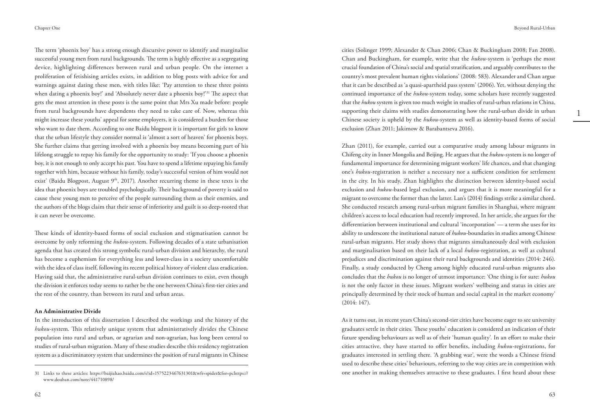The term 'phoenix boy' has a strong enough discursive power to identify and marginalise successful young men from rural backgrounds. The term is highly effective as a segregating device, highlighting differences between rural and urban people. On the internet a proliferation of fetishising articles exists, in addition to blog posts with advice for and warnings against dating these men, with titles like: 'Pay attention to these three points when dating a phoenix boy!' and 'Absolutely never date a phoenix boy!'<sup>31</sup> The aspect that gets the most attention in these posts is the same point that Mrs Xu made before: people from rural backgrounds have dependents they need to take care of. Now, whereas this might increase these youths' appeal for some employers, it is considered a burden for those who want to date them. According to one Baidu blogpost it is important for girls to know that the urban lifestyle they consider normal is 'almost a sort of heaven' for phoenix boys. She further claims that getting involved with a phoenix boy means becoming part of his lifelong struggle to repay his family for the opportunity to study: 'If you choose a phoenix boy, it is not enough to only accept his past. You have to spend a lifetime repaying his family together with him, because without his family, today's successful version of him would not exist' (Baidu Blogpost, August 9<sup>th</sup>, 2017). Another recurring theme in these texts is the idea that phoenix boys are troubled psychologically. Their background of poverty is said to cause these young men to perceive of the people surrounding them as their enemies, and the authors of the blogs claim that their sense of inferiority and guilt is so deep-rooted that it can never be overcome.

These kinds of identity-based forms of social exclusion and stigmatisation cannot be overcome by only reforming the *hukou-*system. Following decades of a state urbanisation agenda that has created this strong symbolic rural-urban division and hierarchy, the rural has become a euphemism for everything less and lower-class in a society uncomfortable with the idea of class itself, following its recent political history of violent class eradication. Having said that, the administrative rural-urban division continues to exist, even though the division it enforces today seems to rather be the one between China's first-tier cities and the rest of the country, than between its rural and urban areas.

#### **An Administrative Divide**

In the introduction of this dissertation I described the workings and the history of the *hukou*-system. This relatively unique system that administratively divides the Chinese population into rural and urban, or agrarian and non-agrarian, has long been central to studies of rural-urban migration. Many of these studies describe this residency registration system as a discriminatory system that undermines the position of rural migrants in Chinese 1

cities (Solinger 1999; Alexander & Chan 2006; Chan & Buckingham 2008; Fan 2008). Chan and Buckingham, for example, write that the *hukou-*system is 'perhaps the most crucial foundation of China's social and spatial stratification, and arguably contributes to the country's most prevalent human rights violations' (2008: 583). Alexander and Chan argue that it can be described as 'a quasi-apartheid pass system' (2006). Yet, without denying the continued importance of the *hukou-*system today, some scholars have recently suggested that the *hukou* system is given too much weight in studies of rural-urban relations in China, supporting their claims with studies demonstrating how the rural-urban divide in urban Chinese society is upheld by the *hukou-*system as well as identity-based forms of social exclusion (Zhan 2011; Jakimow & Barabantseva 2016).

Zhan (2011), for example, carried out a comparative study among labour migrants in Chifeng city in Inner Mongolia and Beijing. He argues that the *hukou-*system is no longer of fundamental importance for determining migrant workers' life chances, and that changing one's *hukou-*registration is neither a necessary nor a sufficient condition for settlement in the city. In his study, Zhan highlights the distinction between identity-based social exclusion and *hukou-*based legal exclusion, and argues that it is more meaningful for a migrant to overcome the former than the latter. Lan's (2014) findings strike a similar chord. She conducted research among rural-urban migrant families in Shanghai, where migrant children's access to local education had recently improved. In her article, she argues for the differentiation between institutional and cultural 'incorporation' — a term she uses for its ability to underscore the institutional nature of *hukou-*boundaries in studies among Chinese rural-urban migrants. Her study shows that migrants simultaneously deal with exclusion and marginalisation based on their lack of a local *hukou-*registration, as well as cultural prejudices and discrimination against their rural backgrounds and identities (2014: 246). Finally, a study conducted by Cheng among highly educated rural-urban migrants also concludes that the *hukou* is no longer of utmost importance: 'One thing is for sure: *hukou*  is not the only factor in these issues. Migrant workers' wellbeing and status in cities are principally determined by their stock of human and social capital in the market economy' (2014: 147).

As it turns out, in recent years China's second-tier cities have become eager to see university graduates settle in their cities. These youths' education is considered an indication of their future spending behaviours as well as of their 'human quality'. In an effort to make their cities attractive, they have started to offer benefits, including *hukou-*registrations, for graduates interested in settling there. 'A grabbing war', were the words a Chinese friend used to describe these cities' behaviours, referring to the way cities are in competition with one another in making themselves attractive to these graduates. I first heard about these

<sup>31</sup> Links to these articles: https://baijiahao.baidu.com/s?id=1575223467631301&wfr=spider&for=pchttps:// www.douban.com/note/441710898/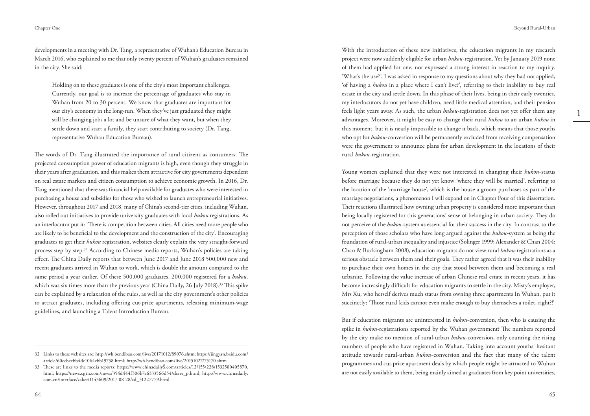developments in a meeting with Dr. Tang, a representative of Wuhan's Education Bureau in March 2016, who explained to me that only twenty percent of Wuhan's graduates remained in the city. She said:

Holding on to these graduates is one of the city's most important challenges. Currently, our goal is to increase the percentage of graduates who stay in Wuhan from 20 to 30 percent. We know that graduates are important for our city's economy in the long-run. When they've just graduated they might still be changing jobs a lot and be unsure of what they want, but when they settle down and start a family, they start contributing to society (Dr. Tang, representative Wuhan Education Bureau).

The words of Dr. Tang illustrated the importance of rural citizens as consumers. The projected consumption power of education migrants is high, even though they struggle in their years after graduation, and this makes them attractive for city governments dependent on real estate markets and citizen consumption to achieve economic growth. In 2016, Dr. Tang mentioned that there was financial help available for graduates who were interested in purchasing a house and subsidies for those who wished to launch entrepreneurial initiatives. However, throughout 2017 and 2018, many of China's second-tier cities, including Wuhan, also rolled out initiatives to provide university graduates with local *hukou* registrations. As an interlocutor put it: 'There is competition between cities. All cities need more people who are likely to be beneficial to the development and the construction of the city'. Encouraging graduates to get their *hukou* registration, websites clearly explain the very straight-forward process step by step.32 According to Chinese media reports, Wuhan's policies are taking effect. The China Daily reports that between June 2017 and June 2018 500,000 new and recent graduates arrived in Wuhan to work, which is double the amount compared to the same period a year earlier. Of these 500,000 graduates, 200,000 registered for a *hukou,*  which was six times more than the previous year (China Daily, 26 July 2018).<sup>33</sup> This spike can be explained by a relaxation of the rules, as well as the city government's other policies to attract graduates, including offering cut-price apartments, releasing minimum-wage guidelines, and launching a Talent Introduction Bureau.

With the introduction of these new initiatives, the education migrants in my research project were now suddenly eligible for urban *hukou-*registration. Yet by January 2019 none of them had applied for one, nor expressed a strong interest in reaction to my inquiry. 'What's the use?', I was asked in response to my questions about why they had not applied, 'of having a *hukou* in a place where I can't live?', referring to their inability to buy real estate in the city and settle down. In this phase of their lives, being in their early twenties, my interlocutors do not yet have children, need little medical attention, and their pension feels light years away. As such, the urban *hukou-*registration does not yet offer them any advantages. Moreover, it might be easy to change their rural *hukou* to an urban *hukou* in this moment, but it is nearly impossible to change it back, which means that those youths who opt for *hukou-*conversion will be permanently excluded from receiving compensation were the government to announce plans for urban development in the locations of their rural *hukou-*registration.

Young women explained that they were not interested in changing their *hukou-*status before marriage because they do not yet know 'where they will be married', referring to the location of the 'marriage house', which is the house a groom purchases as part of the marriage negotiations, a phenomenon I will expand on in Chapter Four of this dissertation. Their reactions illustrated how owning urban property is considered more important than being locally registered for this generations' sense of belonging in urban society. They do not perceive of the *hukou*-system as essential for their success in the city. In contrast to the perception of those scholars who have long argued against the *hukou-*system as being the foundation of rural-urban inequality and injustice (Solinger 1999; Alexander & Chan 2004; Chan & Buckingham 2008), education migrants do not view rural *hukou*-registrations as a serious obstacle between them and their goals. They rather agreed that it was their inability to purchase their own homes in the city that stood between them and becoming a real urbanite. Following the value increase of urban Chinese real estate in recent years, it has become increasingly difficult for education migrants to settle in the city. Misty's employer, Mrs Xu, who herself derives much status from owning three apartments In Wuhan, put it succinctly: 'Those rural kids cannot even make enough to buy themselves a toilet, right?!'

But if education migrants are uninterested in *hukou-*conversion, then who is causing the spike in *hukou-*registrations reported by the Wuhan government? The numbers reported by the city make no mention of rural-urban *hukou*-conversion, only counting the rising numbers of people who have registered in Wuhan. Taking into account youths' hesitant attitude towards rural-urban *hukou-*conversion and the fact that many of the talent programmes and cut-price apartment deals by which people might be attracted to Wuhan are not easily available to them, being mainly aimed at graduates from key point universities,

<sup>32</sup> Links to these websites are: http://wh.bendibao.com/live/20171012/89076.shtm; https://jingyan.baidu.com/ article/60ccbcebb4dc1064cbb19758.html; http://wh.bendibao.com/live/20151027/75170.shtm

<sup>33</sup> These are links to the media reports: https://www.chinadailyS.com/articles/12/155/228/1532580405870. html; https://news.cgtn.com/news/354d444f306b7a6333566d54/share\_p.html; http://www.chinadaily. com.cn/interface/zaker/1143609/2017-08-28/cd\_31227779.html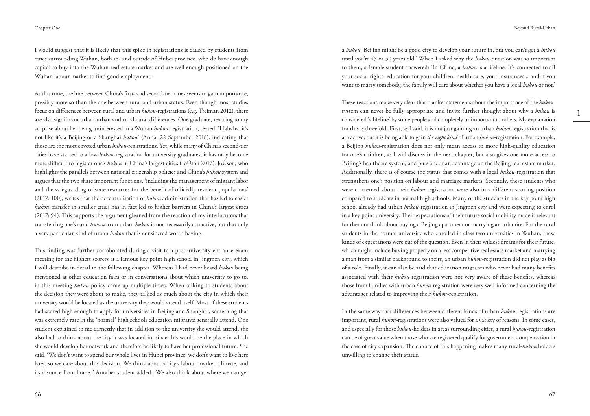I would suggest that it is likely that this spike in registrations is caused by students from cities surrounding Wuhan, both in- and outside of Hubei province, who do have enough capital to buy into the Wuhan real estate market and are well enough positioned on the Wuhan labour market to find good employment.

At this time, the line between China's first- and second-tier cities seems to gain importance, possibly more so than the one between rural and urban status. Even though most studies focus on differences between rural and urban *hukou*-registrations (e.g. Treiman 2012), there are also significant urban-urban and rural-rural differences. One graduate, reacting to my surprise about her being uninterested in a Wuhan *hukou-*registration, texted: 'Hahaha, it's not like it's a Beijing or a Shanghai *hukou*' (Anna, 22 September 2018), indicating that those are the most coveted urban *hukou*-registrations*.* Yet, while many of China's second-tier cities have started to allow *hukou*-registration for university graduates, it has only become more difficult to register one's *hukou* in China's largest cities (JoÚson 2017). JoÚson, who highlights the parallels between national citizenship policies and China's *hukou* system and argues that the two share important functions, 'including the management of migrant labor and the safeguarding of state resources for the benefit of officially resident populations' (2017: 100), writes that the decentralisation of *hukou* administration that has led to easier *hukou-*transfer in smaller cities has in fact led to higher barriers in China's largest cities (2017: 94). This supports the argument gleaned from the reaction of my interlocutors that transferring one's rural *hukou* to an urban *hukou* is not necessarily attractive, but that only a very particular kind of urban *hukou* that is considered worth having.

This finding was further corroborated during a visit to a post-university entrance exam meeting for the highest scorers at a famous key point high school in Jingmen city, which I will describe in detail in the following chapter. Whereas I had never heard *hukou* being mentioned at other education fairs or in conversations about which university to go to, in this meeting *hukou-*policy came up multiple times. When talking to students about the decision they were about to make, they talked as much about the city in which their university would be located as the university they would attend itself. Most of these students had scored high enough to apply for universities in Beijing and Shanghai, something that was extremely rare in the 'normal' high schools education migrants generally attend. One student explained to me earnestly that in addition to the university she would attend, she also had to think about the city it was located in, since this would be the place in which she would develop her network and therefore be likely to have her professional future. She said, 'We don't want to spend our whole lives in Hubei province, we don't want to live here later, so we care about this decision. We think about a city's labour market, climate, and its distance from home..' Another student added, 'We also think about where we can get 1

a *hukou.* Beijing might be a good city to develop your future in, but you can't get a *hukou*  until you're 45 or 50 years old.' When I asked why the *hukou*-question was so important to them, a female student answered: 'In China, a *hukou* is a lifeline. It's connected to all your social rights: education for your children, health care, your insurances... and if you want to marry somebody, the family will care about whether you have a local *hukou* or not.'

These reactions make very clear that blanket statements about the importance of the *hukou*system can never be fully appropriate and invite further thought about why a *hukou* is considered 'a lifeline' by some people and completely unimportant to others. My explanation for this is threefold. First, as I said, it is not just gaining an urban *hukou-*registration that is attractive, but it is being able to gain *the right kind* of urban *hukou-*registration. For example, a Beijing *hukou*-registration does not only mean access to more high-quality education for one's children, as I will discuss in the next chapter, but also gives one more access to Beijing's healthcare system, and puts one at an advantage on the Beijing real estate market. Additionally, there is of course the status that comes with a local *hukou-*registration that strengthens one's position on labour and marriage markets. Secondly, these students who were concerned about their *hukou-*registration were also in a different starting position compared to students in normal high schools. Many of the students in the key point high school already had urban *hukou-*registration in Jingmen city and were expecting to enrol in a key point university. Their expectations of their future social mobility made it relevant for them to think about buying a Beijing apartment or marrying an urbanite. For the rural students in the normal university who enrolled in class two universities in Wuhan, these kinds of expectations were out of the question. Even in their wildest dreams for their future, which might include buying property on a less competitive real estate market and marrying a man from a similar background to theirs, an urban *hukou*-registration did not play as big of a role. Finally, it can also be said that education migrants who never had many benefits associated with their *hukou-*registration were not very aware of these benefits, whereas those from families with urban *hukou-*registration were very well-informed concerning the advantages related to improving their *hukou-*registration.

In the same way that differences between different kinds of urban *hukou-*registrations are important, rural *hukou-*registrations were also valued for a variety of reasons. In some cases, and especially for those *hukou-*holders in areas surrounding cities, a rural *hukou-*registration can be of great value when those who are registered qualify for government compensation in the case of city expansion. The chance of this happening makes many rural-*hukou* holders unwilling to change their status.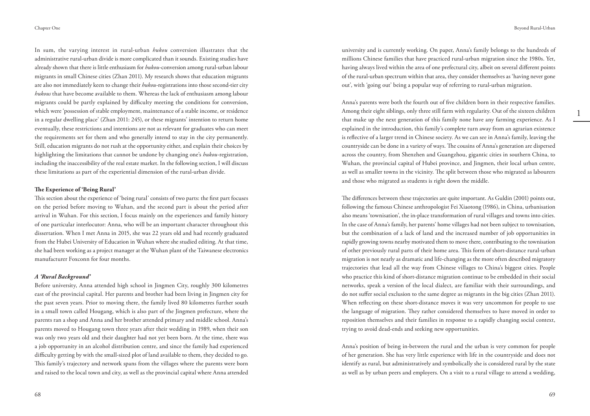In sum, the varying interest in rural-urban *hukou* conversion illustrates that the administrative rural-urban divide is more complicated than it sounds. Existing studies have already shown that there is little enthusiasm for *hukou-*conversion among rural-urban labour migrants in small Chinese cities (Zhan 2011). My research shows that education migrants are also not immediately keen to change their *hukou-*registrations into those second-tier city *hukous* that have become available to them. Whereas the lack of enthusiasm among labour migrants could be partly explained by difficulty meeting the conditions for conversion, which were 'possession of stable employment, maintenance of a stable income, or residence in a regular dwelling place' (Zhan 2011: 245), or these migrants' intention to return home eventually, these restrictions and intentions are not as relevant for graduates who can meet the requirements set for them and who generally intend to stay in the city permanently. Still, education migrants do not rush at the opportunity either, and explain their choices by highlighting the limitations that cannot be undone by changing one's *hukou-*registration, including the inaccessibility of the real estate market. In the following section, I will discuss these limitations as part of the experiential dimension of the rural-urban divide.

#### **The Experience of 'Being Rural'**

This section about the experience of 'being rural' consists of two parts: the first part focuses on the period before moving to Wuhan, and the second part is about the period after arrival in Wuhan. For this section, I focus mainly on the experiences and family history of one particular interlocutor: Anna, who will be an important character throughout this dissertation. When I met Anna in 2015, she was 22 years old and had recently graduated from the Hubei University of Education in Wuhan where she studied editing. At that time, she had been working as a project manager at the Wuhan plant of the Taiwanese electronics manufacturer Foxconn for four months.

#### *A 'Rural Background'*

Before university, Anna attended high school in Jingmen City, roughly 300 kilometres east of the provincial capital. Her parents and brother had been living in Jingmen city for the past seven years. Prior to moving there, the family lived 80 kilometres further south in a small town called Hougang, which is also part of the Jingmen prefecture, where the parents ran a shop and Anna and her brother attended primary and middle school. Anna's parents moved to Hougang town three years after their wedding in 1989, when their son was only two years old and their daughter had not yet been born. At the time, there was a job opportunity in an alcohol distribution centre, and since the family had experienced difficulty getting by with the small-sized plot of land available to them, they decided to go. This family's trajectory and network spans from the villages where the parents were born and raised to the local town and city, as well as the provincial capital where Anna attended

university and is currently working. On paper, Anna's family belongs to the hundreds of millions Chinese families that have practiced rural-urban migration since the 1980s. Yet, having always lived within the area of one prefectural city, albeit on several different points of the rural-urban spectrum within that area, they consider themselves as 'having never gone out', with 'going out' being a popular way of referring to rural-urban migration.

Anna's parents were both the fourth out of five children born in their respective families. Among their eight siblings, only three still farm with regularity. Out of the sixteen children that make up the next generation of this family none have any farming experience. As I explained in the introduction, this family's complete turn away from an agrarian existence is reflective of a larger trend in Chinese society. As we can see in Anna's family, leaving the countryside can be done in a variety of ways. The cousins of Anna's generation are dispersed across the country, from Shenzhen and Guangzhou, gigantic cities in southern China, to Wuhan, the provincial capital of Hubei province, and Jingmen, their local urban centre, as well as smaller towns in the vicinity. The split between those who migrated as labourers and those who migrated as students is right down the middle.

The differences between these trajectories are quite important. As Guldin (2001) points out, following the famous Chinese anthropologist Fei Xiaotong (1986), in China, urbanisation also means 'townisation', the in-place transformation of rural villages and towns into cities. In the case of Anna's family, her parents' home villages had not been subject to townisation, but the combination of a lack of land and the increased number of job opportunities in rapidly growing towns nearby motivated them to move there, contributing to the townisation of other previously rural parts of their home area. This form of short-distance rural-urban migration is not nearly as dramatic and life-changing as the more often described migratory trajectories that lead all the way from Chinese villages to China's biggest cities. People who practice this kind of short-distance migration continue to be embedded in their social networks, speak a version of the local dialect, are familiar with their surroundings, and do not suffer social exclusion to the same degree as migrants in the big cities (Zhan 2011). When reflecting on these short-distance moves it was very uncommon for people to use the language of migration. They rather considered themselves to have moved in order to reposition themselves and their families in response to a rapidly changing social context, trying to avoid dead-ends and seeking new opportunities.

Anna's position of being in-between the rural and the urban is very common for people of her generation. She has very little experience with life in the countryside and does not identify as rural, but administratively and symbolically she is considered rural by the state as well as by urban peers and employers. On a visit to a rural village to attend a wedding,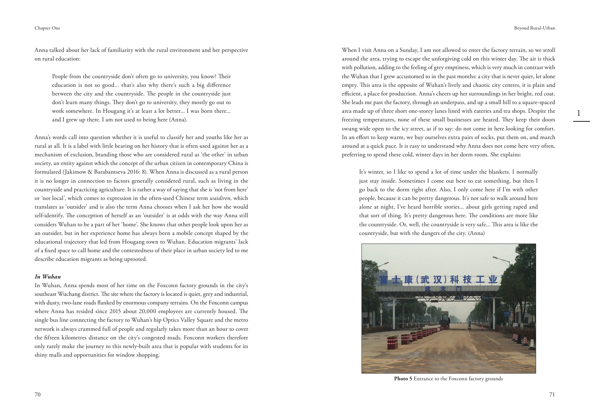Anna talked about her lack of familiarity with the rural environment and her perspective on rural education:

People from the countryside don't often go to university, you know? Their education is not so good... that's also why there's such a big difference between the city and the countryside. The people in the countryside just don't learn many things. They don't go to university, they mostly go out to work somewhere. In Hougang it's at least a lot better... I was born there... and I grew up there. I am not used to being here (Anna).

Anna's words call into question whether it is useful to classify her and youths like her as rural at all. It is a label with little bearing on her history that is often used against her as a mechanism of exclusion, branding those who are considered rural as 'the other' in urban society, an entity against which the concept of the urban citizen in contemporary China is formulated (Jakimow & Barabantseva 2016: 8). When Anna is discussed as a rural person it is no longer in connection to factors generally considered rural, such as living in the countryside and practicing agriculture. It is rather a way of saying that she is 'not from here' or 'not local', which comes to expression in the often-used Chinese term *waidiren,* which translates as 'outsider' and is also the term Anna chooses when I ask her how she would self-identify. The conception of herself as an 'outsider' is at odds with the way Anna still considers Wuhan to be a part of her 'home'. She knows that other people look upon her as an outsider, but in her experience home has always been a mobile concept shaped by the educational trajectory that led from Hougang town to Wuhan. Education migrants' lack of a fixed space to call home and the contestedness of their place in urban society led to me describe education migrants as being uprooted.

#### *In Wuhan*

In Wuhan, Anna spends most of her time on the Foxconn factory grounds in the city's southeast Wuchang district. The site where the factory is located is quiet, grey and industrial, with dusty, two-lane roads flanked by enormous company terrains. On the Foxconn campus where Anna has resided since 2015 about 20,000 employees are currently housed. The single bus line connecting the factory to Wuhan's hip Optics Valley Square and the metro network is always crammed full of people and regularly takes more than an hour to cover the fifteen kilometres distance on the city's congested roads. Foxconn workers therefore only rarely make the journey to this newly-built area that is popular with students for its shiny malls and opportunities for window shopping.

1

When I visit Anna on a Sunday, I am not allowed to enter the factory terrain, so we stroll around the area, trying to escape the unforgiving cold on this winter day. The air is thick with pollution, adding to the feeling of grey emptiness, which is very much in contrast with the Wuhan that I grew accustomed to in the past months: a city that is never quiet, let alone empty. This area is the opposite of Wuhan's lively and chaotic city centres, it is plain and efficient, a place for production. Anna's cheers up her surroundings in her bright, red coat. She leads me past the factory, through an underpass, and up a small hill to a square-spaced area made up of three short one-storey lanes lined with eateries and tea shops. Despite the freezing temperatures, none of these small businesses are heated. They keep their doors swung wide open to the icy street, as if to say: do not come in here looking for comfort. In an effort to keep warm, we buy ourselves extra pairs of socks, put them on, and march around at a quick pace. It is easy to understand why Anna does not come here very often, preferring to spend these cold, winter days in her dorm room. She explains:

It's winter, so I like to spend a lot of time under the blankets. I normally just stay inside. Sometimes I come out here to eat something, but then I go back to the dorm right after. Also, I only come here if I'm with other people, because it can be pretty dangerous. It's not safe to walk around here alone at night, I've heard horrible stories... about girls getting raped and that sort of thing. It's pretty dangerous here. The conditions are more like the countryside. Or, well, the countryside is very safe... This area is like the countryside, but with the dangers of the city. (Anna)



Photo 5 Entrance to the Foxconn factory grounds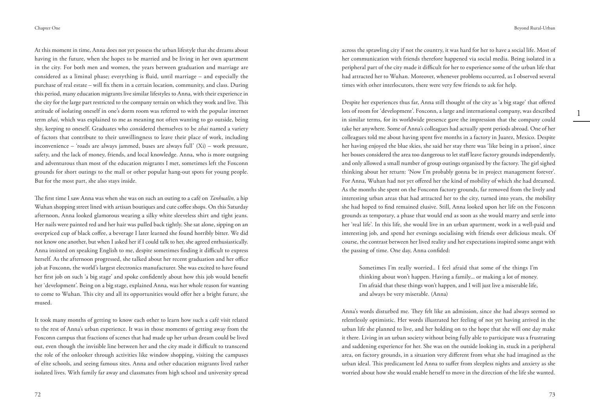At this moment in time, Anna does not yet possess the urban lifestyle that she dreams about having in the future, when she hopes to be married and be living in her own apartment in the city. For both men and women, the years between graduation and marriage are considered as a liminal phase; everything is fluid, until marriage – and especially the purchase of real estate – will fix them in a certain location, community, and class. During this period, many education migrants live similar lifestyles to Anna, with their experience in the city for the large part restricted to the company terrain on which they work and live. This attitude of isolating oneself in one's dorm room was referred to with the popular internet term *zhai,* which was explained to me as meaning not often wanting to go outside, being shy, keeping to oneself. Graduates who considered themselves to be *zhai* named a variety of factors that contribute to their unwillingness to leave their place of work, including inconvenience – 'roads are always jammed, buses are always full' (Xi) – work pressure, safety, and the lack of money, friends, and local knowledge. Anna, who is more outgoing and adventurous than most of the education migrants I met, sometimes left the Foxconn grounds for short outings to the mall or other popular hang-out spots for young people. But for the most part, she also stays inside.

The first time I saw Anna was when she was on such an outing to a café on *Tanhualin,* a hip Wuhan shopping street lined with artisan boutiques and cute coffee shops. On this Saturday afternoon, Anna looked glamorous wearing a silky white sleeveless shirt and tight jeans. Her nails were painted red and her hair was pulled back tightly. She sat alone, sipping on an overpriced cup of black coffee, a beverage I later learned she found horribly bitter. We did not know one another, but when I asked her if I could talk to her, she agreed enthusiastically. Anna insisted on speaking English to me, despite sometimes finding it difficult to express herself. As the afternoon progressed, she talked about her recent graduation and her office job at Foxconn, the world's largest electronics manufacturer. She was excited to have found her first job on such 'a big stage' and spoke confidently about how this job would benefit her 'development'. Being on a big stage, explained Anna, was her whole reason for wanting to come to Wuhan. This city and all its opportunities would offer her a bright future, she mused.

It took many months of getting to know each other to learn how such a café visit related to the rest of Anna's urban experience. It was in those moments of getting away from the Foxconn campus that fractions of scenes that had made up her urban dream could be lived out, even though the invisible line between her and the city made it difficult to transcend the role of the onlooker through activities like window shopping, visiting the campuses of elite schools, and seeing famous sites. Anna and other education migrants lived rather isolated lives. With family far away and classmates from high school and university spread

across the sprawling city if not the country, it was hard for her to have a social life. Most of her communication with friends therefore happened via social media. Being isolated in a peripheral part of the city made it difficult for her to experience some of the urban life that had attracted her to Wuhan. Moreover, whenever problems occurred, as I observed several times with other interlocutors, there were very few friends to ask for help.

Despite her experiences thus far, Anna still thought of the city as 'a big stage' that offered lots of room for 'development'. Foxconn, a large and international company, was described in similar terms, for its worldwide presence gave the impression that the company could take her anywhere. Some of Anna's colleagues had actually spent periods abroad. One of her colleagues told me about having spent five months in a factory in Juarez, Mexico. Despite her having enjoyed the blue skies, she said her stay there was 'like being in a prison', since her bosses considered the area too dangerous to let staff leave factory grounds independently, and only allowed a small number of group outings organised by the factory. The girl sighed thinking about her return: 'Now I'm probably gonna be in project management forever'. For Anna, Wuhan had not yet offered her the kind of mobility of which she had dreamed. As the months she spent on the Foxconn factory grounds, far removed from the lively and interesting urban areas that had attracted her to the city, turned into years, the mobility she had hoped to find remained elusive. Still, Anna looked upon her life on the Foxconn grounds as temporary, a phase that would end as soon as she would marry and settle into her 'real life'. In this life, she would live in an urban apartment, work in a well-paid and interesting job, and spend her evenings socialising with friends over delicious meals. Of course, the contrast between her lived reality and her expectations inspired some angst with the passing of time. One day, Anna confided:

Sometimes I'm really worried.. I feel afraid that some of the things I'm thinking about won't happen. Having a family... or making a lot of money. I'm afraid that these things won't happen, and I will just live a miserable life, and always be very miserable. (Anna)

Anna's words disturbed me. They felt like an admission, since she had always seemed so relentlessly optimistic. Her words illustrated her feeling of not yet having arrived in the urban life she planned to live, and her holding on to the hope that she will one day make it there. Living in an urban society without being fully able to participate was a frustrating and saddening experience for her. She was on the outside looking in, stuck in a peripheral area, on factory grounds, in a situation very different from what she had imagined as the urban ideal. This predicament led Anna to suffer from sleepless nights and anxiety as she worried about how she would enable herself to move in the direction of the life she wanted.